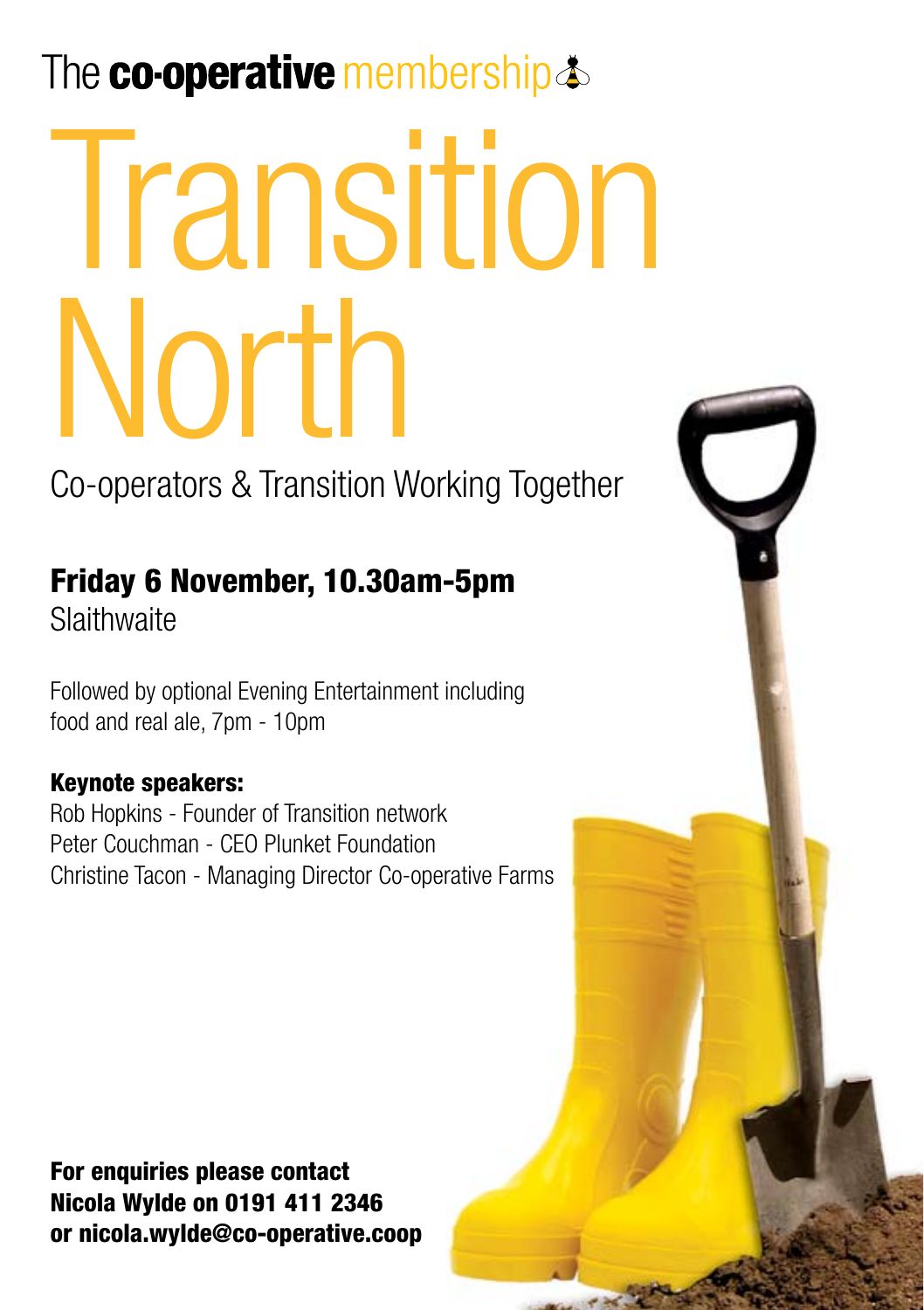# The co-operative membership  $\triangle$

# $\blacksquare$  kolour version logo Transition North

Co-operators & Transition Working Together

# Friday 6 November, 10.30am-5pm

**Slaithwaite** 

Followed by optional Evening Entertainment including food and real ale, 7pm - 10pm

### Keynote speakers:

Rob Hopkins - Founder of Transition network Peter Couchman - CEO Plunket Foundation Christine Tacon - Managing Director Co-operative Farms

For enquiries please contact Nicola Wylde on 0191 411 2346 or nicola.wylde@co-operative.coop